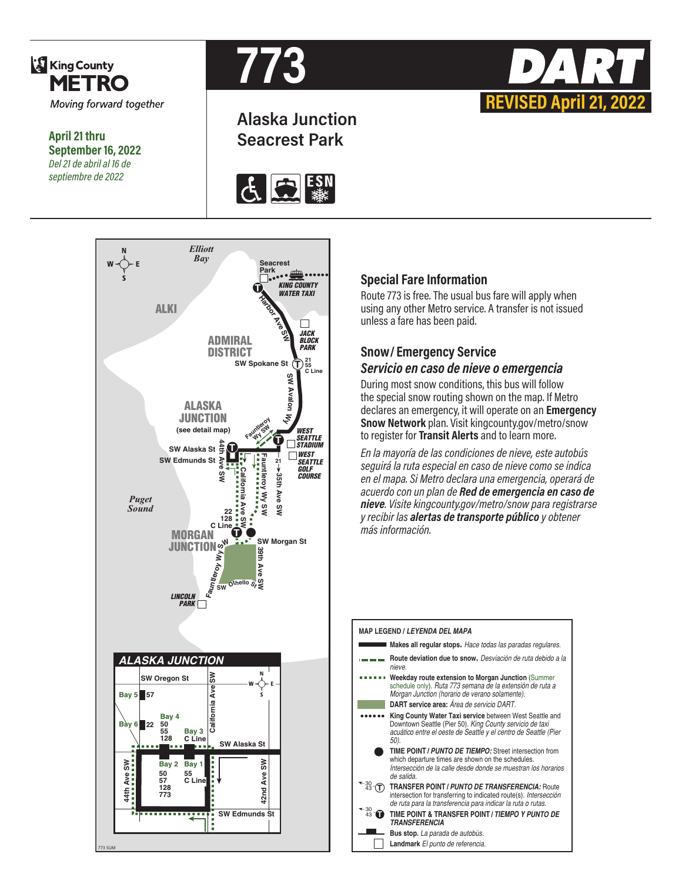

**September 16, 2022** *Del 21 de abril al 16 de septiembre de 2022*



# **Alaska Junction Seacrest Park April 21 thru**





### **Special Fare Information**

Route 773 is free. The usual bus fare will apply when using any other Metro service. A transfer is not issued unless a fare has been paid.

**REVISED April 21, 2022**

# **Snow/ Emergency Service**

# *Servicio en caso de nieve o emergencia*

During most snow conditions, this bus will follow the special snow routing shown on the map. If Metro declares an emergency, it will operate on an **Emergency Snow Network** plan. Visit kingcounty.gov/metro/snow to register for **Transit Alerts** and to learn more.

*En la mayoría de las condiciones de nieve, este autobús seguirá la ruta especial en caso de nieve como se indica en el mapa. Si Metro declara una emergencia, operará de acuerdo con un plan de Red de emergencia en caso de nieve. Visite kingcounty.gov/metro/snow para registrarse y recibir las alertas de transporte público y obtener más información.*

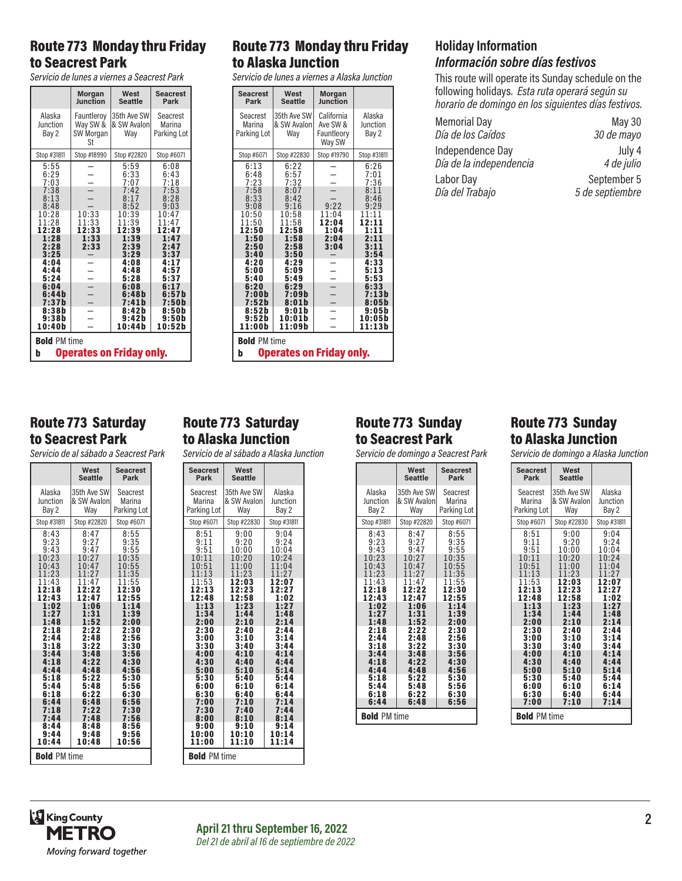# Route 773 Monday thru Friday to Seacrest Park

*Servicio de lunes a viernes a Seacrest Park*

|                                                        | <b>Morgan</b>                             | West                              | <b>Seacrest</b>                   |
|--------------------------------------------------------|-------------------------------------------|-----------------------------------|-----------------------------------|
|                                                        | Junction                                  | <b>Seattle</b>                    | Park                              |
| Alaska<br>Junction<br>Bay 2                            | Fauntleroy<br>Way SW &<br>SW Morgan<br>St | 35th Ave SW<br>& SW Avalon<br>Way | Seacrest<br>Marina<br>Parking Lot |
| Stop #31811                                            | Stop #18990                               | Stop #22820                       | Stop #6071                        |
| 5:55                                                   |                                           | 5:59                              | 6:08                              |
| 6:29                                                   |                                           | 6:33                              | 6:43                              |
| 7:03                                                   |                                           | 7:07                              | 7:18                              |
| 7:38                                                   | $\overline{a}$                            | 7:42                              | 7:53                              |
| 8:13                                                   |                                           | 8:17                              | 8:28                              |
| 8:48                                                   |                                           | 8:52                              | 9:03                              |
| 10:28                                                  | 10:33                                     | 10:39                             | 10:47                             |
| 11:28                                                  | 11:33                                     | 11:39                             | 11:47                             |
| 12:28                                                  | 12:33                                     | 12:39                             | 12:47                             |
| 1:28<br>2:28<br>3:25                                   | 1:33<br>2:33                              | 1:39<br>2:39<br>3:29              | 1:47<br>2:47<br>3:37              |
| 4:04                                                   |                                           | 4:08                              | 4:17                              |
| 4:44                                                   |                                           | 4:48                              | 4:57                              |
| 5:24                                                   |                                           | 5:28                              | 5:37                              |
| 6:04                                                   | ٠                                         | 6:08                              | 6:17                              |
| 6:44 b                                                 |                                           | 6:48 b                            | 6:57 h                            |
| 7:37b                                                  |                                           | 7:41h                             | 7:50b                             |
| 8:38b                                                  |                                           | 8:42b                             | 8:50b                             |
| 9:38b                                                  |                                           | 9:42b                             | 9:50b                             |
| 10:40b                                                 |                                           | 10:44b                            | 10:52b                            |
| <b>Bold PM time</b><br><b>Operates on Friday only.</b> |                                           |                                   |                                   |
| b                                                      |                                           |                                   |                                   |

# Route 773 Saturday to Seacrest Park

*Servicio de al sábado a Seacrest Park*

|                                                                                                                                                      | West<br><b>Seattle</b>                                                                                                          | <b>Seacrest</b><br>Park                                                                                                                              |
|------------------------------------------------------------------------------------------------------------------------------------------------------|---------------------------------------------------------------------------------------------------------------------------------|------------------------------------------------------------------------------------------------------------------------------------------------------|
| Alaska<br>Junction<br>Bay 2                                                                                                                          | 35th Ave SWl<br>& SW Avalon<br>Way                                                                                              | Seacrest<br>Marina<br>Parking Lot                                                                                                                    |
| Stop #31811                                                                                                                                          | Stop #22820                                                                                                                     | Stop #6071                                                                                                                                           |
| 8:43<br>9:23<br>9:43<br>10:23<br>10:43<br>:23<br>.43<br>2:18<br>12:43<br>1:02<br>:48<br>2:18<br>2:44<br>3:18<br>3:44<br>4:18<br>4:44<br>5:18<br>5:44 | 8:47<br>9:27<br>9:47<br>10:2<br>2:22<br>12:4<br>ĥ<br>-31<br>:52<br>2:22<br>2:48<br>3:22<br>3:48<br>4:22<br>4:48<br>5:22<br>5:48 | 8:55<br>9:35<br>9:55<br>10:35<br>0:55<br>:35<br>.55<br>2:30<br>12:55<br>- 39<br>2:00<br>2:30<br>2:56<br>3:30<br>3:56<br>4:30<br>4:56<br>5:30<br>5:56 |
| 6:18<br>6:44<br>7:18<br>7:44                                                                                                                         | 6:22<br>6:48<br>7:22<br>7:48                                                                                                    | 6:30<br>6:56<br>7:30<br>7:56                                                                                                                         |
| 8:44<br>9:44<br>10:44                                                                                                                                | 8:48<br>9:48<br>10:48                                                                                                           | 8:56<br>9:56<br>10:56                                                                                                                                |
| <b>Bold PM time</b>                                                                                                                                  |                                                                                                                                 |                                                                                                                                                      |

# Route 773 Saturday to Alaska Junction

*Servicio de al sábado a Alaska Junction*

| <b>Seacrest</b><br>Park | West<br><b>Seattle</b> |             |  |
|-------------------------|------------------------|-------------|--|
| Seacrest                | 35th Ave SW            | Alaska      |  |
| Marina                  | & SW Avalon            | Junction    |  |
| Parking Lot             | Way                    | Bay 2       |  |
| Stop #6071              | Stop #22830            | Stop #31811 |  |
| 8:51                    | 9:00                   | 9:04        |  |
| 9:11                    | 9:20                   | 9:24        |  |
| 9:51                    | 10:00                  | 10:04       |  |
| 10:11                   | 10:20                  | 10:24       |  |
| 10:51                   | 11:00                  | 11:04       |  |
| 11:13                   | 11:23                  | 11:27       |  |
| 11:53                   | 12:03                  | 12:07       |  |
| 12:13                   | 12:23                  | 12:27       |  |
| 12:48                   | 12:58                  | 1:02        |  |
| 1:13                    | 1:23                   | 1:27        |  |
| 1:34                    | 1:44                   | 1:48        |  |
| 2:00                    | 2:10                   | 2:14        |  |
| 2:30                    | 2:40                   | 2:44        |  |
| 3:00                    | 3:10                   | 3:14        |  |
| 3:30                    | 3:40                   | 3:44        |  |
| 4:00                    | 4:10                   | 4:14        |  |
| 4:30                    | 4:40                   | 4:44        |  |
| 5:00                    | 5:10                   | 5:14        |  |
| 5:30                    | 5:40                   | 5:44        |  |
| 6:00                    | 6:10                   | 6:14        |  |
| 6:30                    | 6:40                   | 6:44        |  |
| 7:00                    | 7:10                   | 7:14        |  |
| 7:30                    | 7:40                   | 7:44        |  |
| 8:00                    | 8:10                   | 8:14        |  |
| 9:00                    | 9:10                   | 9:14        |  |
| 10:00                   | 10:10                  | 10:14       |  |
| 11:00                   | 11:10                  | 11:14       |  |
| <b>Bold PM time</b>     |                        |             |  |

# Route 773 Monday thru Friday to Alaska Junction

*Servicio de lunes a viernes a Alaska Junction*

| <b>Seacrest</b>                      | West                              | <b>Morgan</b>                                  |                             |
|--------------------------------------|-----------------------------------|------------------------------------------------|-----------------------------|
| Park                                 | <b>Seattle</b>                    | Junction                                       |                             |
| Seacrest<br>Marina<br>Parking Lot    | 35th Ave SW<br>& SW Avalon<br>Wav | California<br>Ave SW &<br>Fauntleory<br>Way SW | Alaska<br>Junction<br>Bay 2 |
| Stop #6071                           | Stop #22830                       | Stop #19790                                    | Stop #31811                 |
| 6:13                                 | 6:22                              |                                                | 6:26                        |
| 6:48                                 | 6:57                              |                                                | 7:01                        |
| 7:23                                 | 7:32                              |                                                | 7:36                        |
| 7:58                                 | 8:07                              | 9:22                                           | 8:11                        |
| 8:33                                 | 8:42                              |                                                | 8:46                        |
| 9:08                                 | 9:16                              |                                                | 9:29                        |
| 10:50                                | 10:58                             | 11:04                                          | 11:11                       |
| 11:50                                | 11:58                             | 12:04                                          | 12:11                       |
| 12:50                                | 12:58                             | 1:04                                           | 1:11                        |
| 1:50<br>2:50<br>3:40                 | 1:58<br>2:58<br>3:50              | 2:04<br>3:04                                   | 2:11<br>3:11<br>3:54        |
| 4:20                                 | 4:29                              |                                                | 4:33                        |
| 5:00                                 | 5:09                              |                                                | 5:13                        |
| 5:40                                 | 5:49                              |                                                | 5:53                        |
| 6:20                                 | 6:29                              |                                                | 6:33                        |
| 7:00 b                               | 7:09 b                            |                                                | 7:13h                       |
| 7:52h                                | 8:01h                             |                                                | 8:05 b                      |
| 8:52b                                | 9:01b                             |                                                | 9:05b                       |
| 9:52 b                               | 10:01b                            |                                                | 10:05b                      |
| 11:00b                               | 11:09b                            |                                                | 11:13b                      |
| <b>Bold PM time</b>                  |                                   |                                                |                             |
| <b>Operates on Friday only.</b><br>b |                                   |                                                |                             |

# **Holiday Information** *Información sobre días festivos*

This route will operate its Sunday schedule on the following holidays. *Esta ruta operará según su horario de domingo en los siguientes días festivos.*

| <b>Memorial Day</b>     | May 30          |
|-------------------------|-----------------|
| Día de los Caídos       | 30 de mayo      |
| Independence Day        | July 4          |
| Día de la independencia | 4 de julio      |
| Labor Day               | September 5     |
| Día del Trabajo         | 5 de septiembre |

# Route 773 Sunday to Seacrest Park

*Servicio de domingo a Seacrest Park*

|                                                                                                                                                                                   | West<br><b>Seattle</b>                                                                                                                                                            | <b>Seacrest</b><br>Park                                                                                                                                                            |
|-----------------------------------------------------------------------------------------------------------------------------------------------------------------------------------|-----------------------------------------------------------------------------------------------------------------------------------------------------------------------------------|------------------------------------------------------------------------------------------------------------------------------------------------------------------------------------|
| Alaska<br>Junction<br>Bay 2                                                                                                                                                       | 35th Ave SW<br>& SW Avalon<br>Way                                                                                                                                                 | Seacrest<br>Marina<br>Parking Lot                                                                                                                                                  |
| Stop #31811                                                                                                                                                                       | Stop #22820                                                                                                                                                                       | Stop #6071                                                                                                                                                                         |
| 8:43<br>9:23<br>9:43<br>10:23<br>10:43<br>1:23<br>11:43<br>12:18<br>12:43<br>1:02<br>1:27<br>1:48<br>2:18<br>2:44<br>3:18<br>3:44<br>4:18<br>4:44<br>5:18<br>5:44<br>6:18<br>6:44 | 8:47<br>9:27<br>9:47<br>10:27<br>10:47<br>1:27<br>11:47<br>12:22<br>12:47<br>1:06<br>1:31<br>1:52<br>2:22<br>2:48<br>3:22<br>3:48<br>4:22<br>4:48<br>5:22<br>5:48<br>6:22<br>6:48 | 8:55<br>9:35<br>9:55<br>10:35<br>10:55<br>11:35<br>11:55<br>12:30<br>12:55<br>1:14<br>1:39<br>2:00<br>2:30<br>2:56<br>3:30<br>3:56<br>4:30<br>4:56<br>5:30<br>5:56<br>6:30<br>6:56 |
| <b>Bold PM time</b>                                                                                                                                                               |                                                                                                                                                                                   |                                                                                                                                                                                    |

# Route 773 Sunday to Alaska Junction

*Servicio de domingo a Alaska Junction*

| <b>Seacrest</b>     | West           |                |
|---------------------|----------------|----------------|
| Park                | <b>Seattle</b> |                |
| Seacrest            | 35th Ave SW    | Alaska         |
| Marina              | & SW Avalon    | Junction       |
| Parking Lot         | Way            | Bay 2          |
| Stop #6071          | Stop #22830    | Stop #31811    |
| 8:51                | 9:00           | 9:04           |
| 9:11<br>9:51        | 9:20<br>10:00  | 9:24<br>10:04  |
| 10:11               | 10:20          | 10:24          |
| 10:51               | 11:00          | 11:04          |
| 11:13<br>11:53      | 11:23<br>12:03 | 11:27<br>12:07 |
| 12:13               | 12:23          | 12:27          |
| 12:48               | 12:58          | 1:02           |
| 1:13<br>1:34        | 1:23           | 1:27           |
| 2:00                | 1:44<br>2:10   | 1:48<br>2:14   |
| 2:30                | 2:40           | 2:44           |
| 3:00                | 3:10           | 3:14           |
| 3:30<br>4:00        | 3:40<br>4:10   | 3:44<br>4:14   |
| 4:30                | 4:40           | 4:44           |
| 5:00                | 5:10           | 5:14           |
| 5:30<br>6:00        | 5:40<br>6:10   | 5:44<br>6:14   |
| 6:30                | 6:40           | 6:44           |
| 7:00                | 7:10           | 7:14           |
| <b>Bold PM time</b> |                |                |